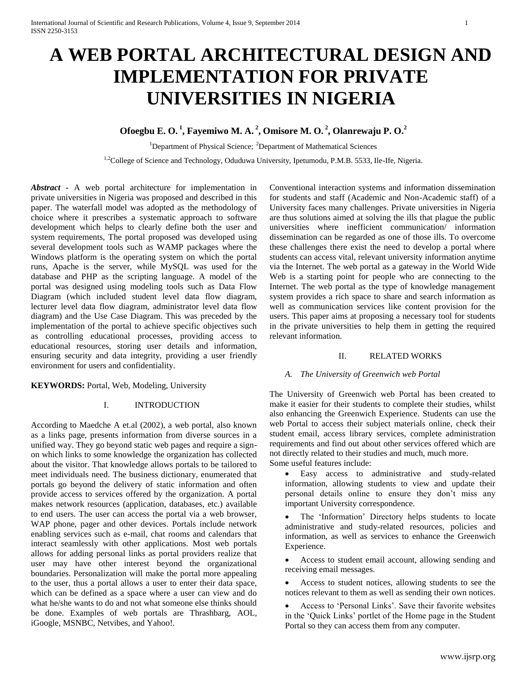# **A WEB PORTAL ARCHITECTURAL DESIGN AND IMPLEMENTATION FOR PRIVATE UNIVERSITIES IN NIGERIA**

# **Ofoegbu E. O. <sup>1</sup> , Fayemiwo M. A. <sup>2</sup> , Omisore M. O. <sup>2</sup> , Olanrewaju P. O. 2**

<sup>1</sup>Department of Physical Science; <sup>2</sup>Department of Mathematical Sciences

<sup>1,2</sup>College of Science and Technology, Oduduwa University, Ipetumodu, P.M.B. 5533, Ile-Ife, Nigeria.

*Abstract -* A web portal architecture for implementation in private universities in Nigeria was proposed and described in this paper. The waterfall model was adopted as the methodology of choice where it prescribes a systematic approach to software development which helps to clearly define both the user and system requirements, The portal proposed was developed using several development tools such as WAMP packages where the Windows platform is the operating system on which the portal runs, Apache is the server, while MySQL was used for the database and PHP as the scripting language. A model of the portal was designed using modeling tools such as Data Flow Diagram (which included student level data flow diagram, lecturer level data flow diagram, administrator level data flow diagram) and the Use Case Diagram. This was preceded by the implementation of the portal to achieve specific objectives such as controlling educational processes, providing access to educational resources, storing user details and information, ensuring security and data integrity, providing a user friendly environment for users and confidentiality.

**KEYWORDS:** Portal, Web, Modeling, University

# I. INTRODUCTION

According to Maedche A et.al (2002), a web portal, also known as a links page, presents information from diverse sources in a unified way. They go beyond static web pages and require a signon which links to some knowledge the organization has collected about the visitor. That knowledge allows portals to be tailored to meet individuals need. The business dictionary, enumerated that portals go beyond the delivery of static information and often provide access to services offered by the organization. A portal makes network resources (application, databases, etc.) available to end users. The user can access the portal via a web browser, WAP phone, pager and other devices. Portals include network enabling services such as e-mail, chat rooms and calendars that interact seamlessly with other applications. Most web portals allows for adding personal links as portal providers realize that user may have other interest beyond the organizational boundaries. Personalization will make the portal more appealing to the user, thus a portal allows a user to enter their data space, which can be defined as a space where a user can view and do what he/she wants to do and not what someone else thinks should be done. Examples of web portals are Thrashbarg, [AOL,](http://en.wikipedia.org/wiki/AOL)  [iGoogle,](http://en.wikipedia.org/wiki/IGoogle) [MSNBC,](http://en.wikipedia.org/wiki/MSNBC) [Netvibes,](http://en.wikipedia.org/wiki/Netvibes) an[d Yahoo!.](http://en.wikipedia.org/wiki/Yahoo%21)

Conventional interaction systems and information dissemination for students and staff (Academic and Non-Academic staff) of a University faces many challenges. Private universities in Nigeria are thus solutions aimed at solving the ills that plague the public universities where inefficient communication/ information dissemination can be regarded as one of those ills. To overcome these challenges there exist the need to develop a portal where students can access vital, relevant university information anytime via the Internet. The web portal as a gateway in the World Wide Web is a starting point for people who are connecting to the Internet. The web portal as the type of knowledge management system provides a rich space to share and search information as well as communication services like content provision for the users. This paper aims at proposing a necessary tool for students in the private universities to help them in getting the required relevant information.

#### II. RELATED WORKS

#### *A. The University of Greenwich web Portal*

The University of Greenwich web Portal has been created to make it easier for their students to complete their studies, whilst also enhancing the Greenwich Experience. Students can use the web Portal to access their subject materials online, check their student email, access library services, complete administration requirements and find out about other services offered which are not directly related to their studies and much, much more. Some useful features include:

- Easy access to administrative and study-related information, allowing students to view and update their personal details online to ensure they don't miss any important University correspondence.
- The 'Information' Directory helps students to locate administrative and study-related resources, policies and information, as well as services to enhance the Greenwich Experience.
- Access to student email account, allowing sending and receiving email messages.
- Access to student notices, allowing students to see the notices relevant to them as well as sending their own notices.
- Access to 'Personal Links'. Save their favorite websites in the 'Quick Links' portlet of the Home page in the Student Portal so they can access them from any computer.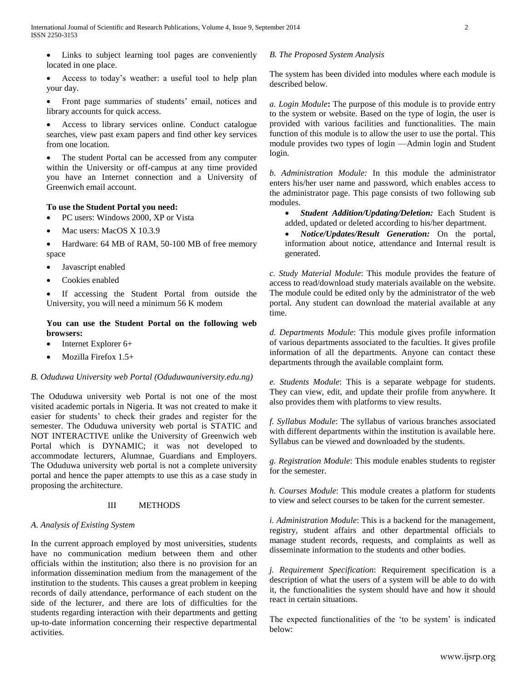Links to subject learning tool pages are conveniently located in one place.

 Access to today's weather: a useful tool to help plan your day.

 Front page summaries of students' email, notices and library accounts for quick access.

 Access to library services online. Conduct catalogue searches, view past exam papers and find other key services from one location.

 The student Portal can be accessed from any computer within the University or off-campus at any time provided you have an Internet connection and a University of Greenwich email account.

# **To use the Student Portal you need:**

- PC users: Windows 2000, XP or Vista
- Mac users: MacOS X 10.3.9
- Hardware: 64 MB of RAM, 50-100 MB of free memory space
- Javascript enabled
- Cookies enabled

 If accessing the Student Portal from outside the University, you will need a minimum 56 K modem

#### **You can use the Student Portal on the following web browsers:**

- Internet Explorer 6+
- Mozilla Firefox 1.5+

# *B. Oduduwa University web Portal (Oduduwauniversity.edu.ng)*

The Oduduwa university web Portal is not one of the most visited academic portals in Nigeria. It was not created to make it easier for students' to check their grades and register for the semester. The Oduduwa university web portal is STATIC and NOT INTERACTIVE unlike the University of Greenwich web Portal which is DYNAMIC; it was not developed to accommodate lecturers, Alumnae, Guardians and Employers. The Oduduwa university web portal is not a complete university portal and hence the paper attempts to use this as a case study in proposing the architecture.

# III METHODS

#### *A. Analysis of Existing System*

In the current approach employed by most universities, students have no communication medium between them and other officials within the institution; also there is no provision for an information dissemination medium from the management of the institution to the students. This causes a great problem in keeping records of daily attendance, performance of each student on the side of the lecturer, and there are lots of difficulties for the students regarding interaction with their departments and getting up-to-date information concerning their respective departmental activities.

### *B. The Proposed System Analysis*

The system has been divided into modules where each module is described below.

*a. Login Module***:** The purpose of this module is to provide entry to the system or website. Based on the type of login, the user is provided with various facilities and functionalities. The main function of this module is to allow the user to use the portal. This module provides two types of login —Admin login and Student login.

*b. Administration Module:* In this module the administrator enters his/her user name and password, which enables access to the administrator page. This page consists of two following sub modules.

 *Student Addition/Updating/Deletion:* Each Student is added, updated or deleted according to his/her department.

 *Notice/Updates/Result Generation:* On the portal, information about notice, attendance and Internal result is generated.

*c. Study Material Module*: This module provides the feature of access to read/download study materials available on the website. The module could be edited only by the administrator of the web portal. Any student can download the material available at any time.

*d. Departments Module*: This module gives profile information of various departments associated to the faculties. It gives profile information of all the departments. Anyone can contact these departments through the available complaint form.

*e. Students Module*: This is a separate webpage for students. They can view, edit, and update their profile from anywhere. It also provides them with platforms to view results.

*f. Syllabus Module*: The syllabus of various branches associated with different departments within the institution is available here. Syllabus can be viewed and downloaded by the students.

*g. Registration Module*: This module enables students to register for the semester.

*h. Courses Module*: This module creates a platform for students to view and select courses to be taken for the current semester.

*i. Administration Module*: This is a backend for the management, registry, student affairs and other departmental officials to manage student records, requests, and complaints as well as disseminate information to the students and other bodies.

*j. Requirement Specification*: Requirement specification is a description of what the users of a system will be able to do with it, the functionalities the system should have and how it should react in certain situations.

The expected functionalities of the 'to be system' is indicated below: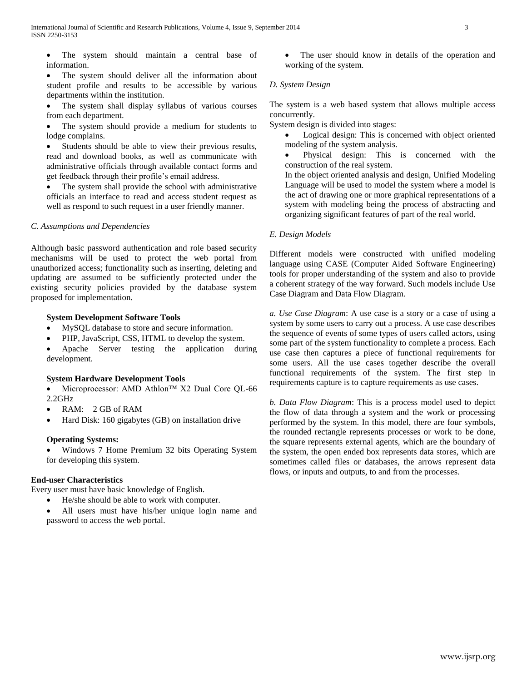The system should maintain a central base of information.

 The system should deliver all the information about student profile and results to be accessible by various departments within the institution.

 The system shall display syllabus of various courses from each department.

 The system should provide a medium for students to lodge complains.

 Students should be able to view their previous results, read and download books, as well as communicate with administrative officials through available contact forms and get feedback through their profile's email address.

 The system shall provide the school with administrative officials an interface to read and access student request as well as respond to such request in a user friendly manner.

# *C[. Assumptions and Dependencies](http://www.cmcrossroads.com/bradapp/docs/sdd.html#TOC_SEC7)*

Although basic password authentication and role based security mechanisms will be used to protect the web portal from unauthorized access; functionality such as inserting, deleting and updating are assumed to be sufficiently protected under the existing security policies provided by the database system proposed for implementation.

#### **System Development Software Tools**

- MySQL database to store and secure information.
- PHP, JavaScript, CSS, HTML to develop the system.
- Apache Server testing the application during development.

#### **System Hardware Development Tools**

 Microprocessor: AMD Athlon™ X2 Dual Core QL-66 2.2GHz

- RAM: 2 GB of RAM
- Hard Disk: 160 gigabytes (GB) on installation drive

#### **Operating Systems:**

 Windows 7 Home Premium 32 bits Operating System for developing this system.

# **End-user Characteristics**

Every user must have basic knowledge of English.

- He/she should be able to work with computer.
- All users must have his/her unique login name and password to access the web portal.

 The user should know in details of the operation and working of the system.

#### *D. System Design*

The system is a web based system that allows multiple access concurrently.

System design is divided into stages:

- Logical design: This is concerned with object oriented modeling of the system analysis.
- Physical design: This is concerned with the construction of the real system.

In the object oriented analysis and design, Unified Modeling Language will be used to model the system where a model is the act of drawing one or more graphical representations of a system with modeling being the process of abstracting and organizing significant features of part of the real world.

#### *E. Design Models*

Different models were constructed with unified modeling language using CASE (Computer Aided Software Engineering) tools for proper understanding of the system and also to provide a coherent strategy of the way forward. Such models include Use Case Diagram and Data Flow Diagram.

*a. Use Case Diagram*: A use case is a story or a case of using a system by some users to carry out a process. A use case describes the sequence of events of some types of users called actors, using some part of the system functionality to complete a process. Each use case then captures a piece of functional requirements for some users. All the use cases together describe the overall functional requirements of the system. The first step in requirements capture is to capture requirements as use cases.

*b. Data Flow Diagram*: This is a process model used to depict the flow of data through a system and the work or processing performed by the system. In this model, there are four symbols, the rounded rectangle represents processes or work to be done, the square represents external agents, which are the boundary of the system, the open ended box represents data stores, which are sometimes called files or databases, the arrows represent data flows, or inputs and outputs, to and from the processes.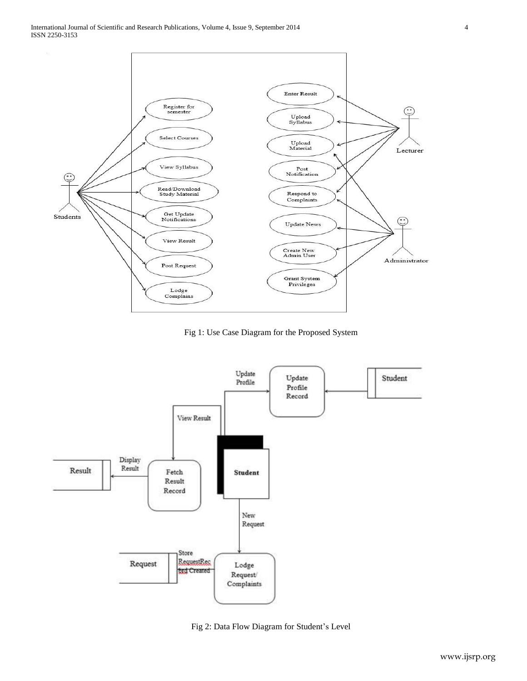

Fig 1: Use Case Diagram for the Proposed System



Fig 2: Data Flow Diagram for Student's Level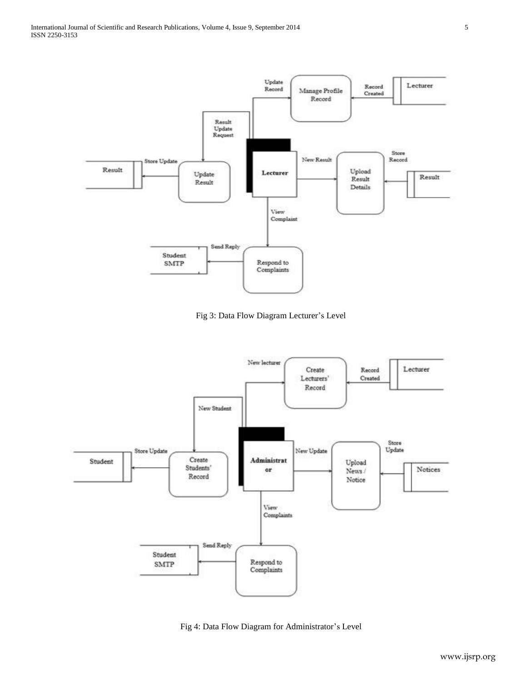

Fig 3: Data Flow Diagram Lecturer's Level



Fig 4: Data Flow Diagram for Administrator's Level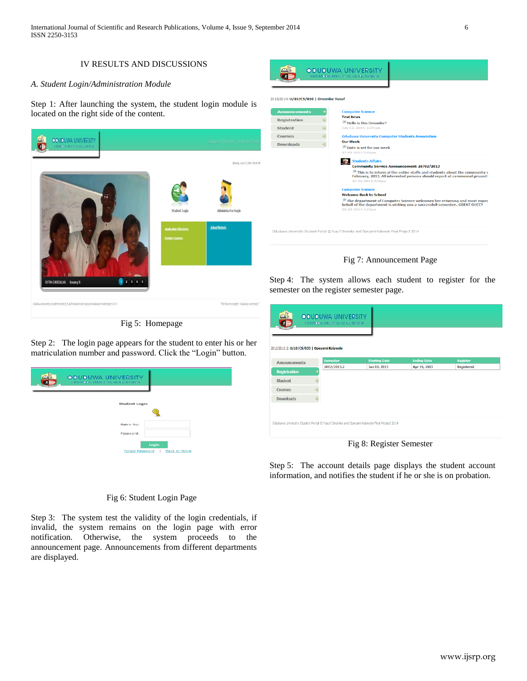International Journal of Scientific and Research Publications, Volume 4, Issue 9, September 2014 6 ISSN 2250-3153

# IV RESULTS AND DISCUSSIONS

# *A. Student Login/Administration Module*

Step 1: After launching the system, the student login module is located on the right side of the content.



Fig 5: Homepage

Step 2: The login page appears for the student to enter his or her matriculation number and password. Click the "Login" button.

| <b>ODUDUWA UNIVERSITY</b><br>IPETUMODU, RM.B. 5533, ILE IFE, NIGERIA<br><b>FOCULARIA SEPT</b> |                                     |
|-----------------------------------------------------------------------------------------------|-------------------------------------|
| <b>Student Login</b>                                                                          |                                     |
| Matric No:<br>Password:                                                                       |                                     |
| <b>Forgot Password</b>                                                                        | Login<br><b>Back to Home</b><br>- 1 |



Fig 7: Announcement Page

Step 4: The system allows each student to register for the semester on the register semester page.

| 2012/2013.2: U/10/CS/033   Opeyemi Kolawole |                                |                                      |                                    |                               |
|---------------------------------------------|--------------------------------|--------------------------------------|------------------------------------|-------------------------------|
|                                             |                                |                                      |                                    |                               |
| <b>Announcements</b>                        | <b>Semester</b><br>2012/2013.2 | <b>Starting Date</b><br>Jan 03, 2013 | <b>Ending Date</b><br>Apr 19, 2013 | <b>Register</b><br>Registered |
| <b>Registration</b>                         |                                |                                      |                                    |                               |
| <b>Student</b>                              |                                |                                      |                                    |                               |
| <b>Courses</b>                              |                                |                                      |                                    |                               |
| <b>Downloads</b>                            |                                |                                      |                                    |                               |
|                                             |                                |                                      |                                    |                               |

Fig 8: Register Semester

Step 5: The account details page displays the student account information, and notifies the student if he or she is on probation.

Fig 6: Student Login Page

Step 3: The system test the validity of the login credentials, if invalid, the system remains on the login page with error notification. Otherwise, the system proceeds to the announcement page. Announcements from different departments are displayed.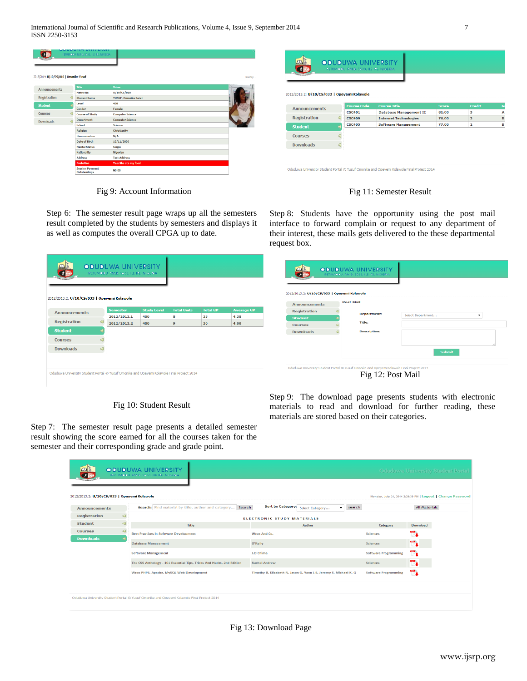|                      |                 | <b>Probation</b><br><b>Session Payment</b> | Yes: She ate my food    |  |
|----------------------|-----------------|--------------------------------------------|-------------------------|--|
|                      |                 | <b>Address</b>                             | <b>Test Address</b>     |  |
|                      |                 | <b>Nationality</b>                         | <b>Nigerian</b>         |  |
|                      |                 | <b>Marital Status</b>                      | <b>Single</b>           |  |
|                      |                 | Date of Birth                              | 10/11/2000              |  |
|                      |                 | <b>Denomination</b>                        | N/A                     |  |
|                      |                 | Religion                                   | Christianity            |  |
|                      |                 | School                                     | <b>Science</b>          |  |
| <b>Downloads</b>     | $\triangleleft$ | <b>Department</b>                          | <b>Computer Science</b> |  |
| <b>Courses</b>       | ⊲               | <b>Course of Study</b>                     | <b>Computer Science</b> |  |
|                      |                 | Gender                                     | Female                  |  |
| <b>Student</b>       |                 | Level                                      | 400                     |  |
| Registration         | ⊲               | <b>Student Name</b>                        | YUSUF, Omonike Sarat    |  |
|                      |                 | <b>Matric No</b>                           | U/10/CS/010             |  |
| <b>Announcements</b> |                 | Title                                      | Value                   |  |

Fig 9: Account Information

| 2012/2013.2: U/10/CS/033   Opeyemi Kolawole |   |                                     |                                                      |                       |                         |
|---------------------------------------------|---|-------------------------------------|------------------------------------------------------|-----------------------|-------------------------|
|                                             |   |                                     |                                                      |                       |                         |
| <b>Announcements</b>                        |   | <b>Course Code</b><br><b>CSC401</b> | <b>Course Title</b><br><b>Database Management II</b> | <b>Score</b><br>81.00 | <b>Credit</b><br>з      |
| <b>Registration</b>                         |   | <b>CSC409</b>                       | <b>Internet Technologies</b>                         | 76.00                 | 3                       |
| <b>Student</b>                              |   | <b>CSC405</b>                       | <b>Software Management</b>                           | 77.00                 | $\overline{\mathbf{z}}$ |
| <b>Courses</b>                              |   |                                     |                                                      |                       |                         |
| <b>Downloads</b>                            | ⊲ |                                     |                                                      |                       |                         |

Fig 11: Semester Result

Step 6: The semester result page wraps up all the semesters result completed by the students by semesters and displays it as well as computes the overall CPGA up to date.

Step 8: Students have the opportunity using the post mail interface to forward complain or request to any department of their interest, these mails gets delivered to the these departmental request box.

| $\mathbf{A}$<br>大题<br>2012/2013.2: U/10/CS/033   Opeyemi Kolawole                         | <b>ODUDUWA UNIVERSITY</b><br>IPETUMODU, P.M.B. 5533, ILE IPE, NIGERIA |                    |                    |                 |                   | $\Box$         | 2012/2013.2: U/10/CS/033   Opeyemi Kolawole | <b>ODUDUWA UNIVERSITY</b><br>IPETUMODU, RM.B. 5533, ILE IPE, NIGERIA<br><b>Post Mail</b>                       |                   |  |
|-------------------------------------------------------------------------------------------|-----------------------------------------------------------------------|--------------------|--------------------|-----------------|-------------------|----------------|---------------------------------------------|----------------------------------------------------------------------------------------------------------------|-------------------|--|
| <b>Announcements</b>                                                                      | <b>Semester</b>                                                       | <b>Study Level</b> | <b>Total Units</b> | <b>Total GP</b> | <b>Average GP</b> |                | <b>Announcements</b><br>Registration        |                                                                                                                |                   |  |
|                                                                                           | 2012/2013.1                                                           | 400                | 8                  | 35              | 4.38              | <b>Student</b> |                                             | <b>Department:</b>                                                                                             | Select Department |  |
| Registration                                                                              | 2012/2013.2                                                           | 400                | $\mathbf{9}$       | 36              | 4.00              | <b>Courses</b> |                                             | Title:                                                                                                         |                   |  |
| <b>Student</b>                                                                            |                                                                       |                    |                    |                 |                   |                | <b>Downloads</b>                            | <b>Description:</b>                                                                                            |                   |  |
| <b>Courses</b>                                                                            |                                                                       |                    |                    |                 |                   |                |                                             |                                                                                                                |                   |  |
| <b>Downloads</b>                                                                          |                                                                       |                    |                    |                 |                   |                |                                             |                                                                                                                |                   |  |
|                                                                                           |                                                                       |                    |                    |                 |                   |                |                                             |                                                                                                                | <b>Submit</b>     |  |
|                                                                                           |                                                                       |                    |                    |                 |                   |                |                                             |                                                                                                                |                   |  |
| Oduduwa University Student Portal @ Yusuf Omonike and Opeyemi Kolawole Final Project 2014 |                                                                       |                    |                    |                 |                   |                |                                             | Oduduwa University Student Portal @ Yusuf Omonike and Opeyemi Kolawole Final Project 2014<br>Fig 12: Post Mail |                   |  |

Fig 10: Student Result

Step 9: The download page presents students with electronic materials to read and download for further reading, these materials are stored based on their categories.

Step 7: The semester result page presents a detailed semester result showing the score earned for all the courses taken for the semester and their corresponding grade and grade point.

| 2012/2013.2: U/10/CS/033   Opeyemi Kolawole |   | <b>ODUDUWA UNIVERSITY</b><br>IPETUMODU, RM.B. 5533, ILE IFE, NIGERIA                      |                                                                   |                             | <b>Oduduwa University Student Portal</b><br>Monday, July 21, 2014 2:29:39 PM   Logout   Change Password |
|---------------------------------------------|---|-------------------------------------------------------------------------------------------|-------------------------------------------------------------------|-----------------------------|---------------------------------------------------------------------------------------------------------|
| <b>Announcements</b>                        |   | Search: Find material by title, author and category<br>Search                             | <b>Sort by Category:</b><br>$\bullet$ search<br>Select Category   |                             | All Materials                                                                                           |
| <b>Registration</b>                         | ⊲ |                                                                                           | <b>ELECTRONIC STUDY MATERIALS</b>                                 |                             |                                                                                                         |
| <b>Student</b>                              | ⊲ | Title                                                                                     | <b>Author</b>                                                     | Category                    | <b>Download</b>                                                                                         |
| <b>Courses</b>                              |   | <b>Best Practices In Software Development</b>                                             | Wrox And Co.                                                      | <b>Sciences</b>             | œ.                                                                                                      |
| <b>Downloads</b>                            |   | <b>Database Management</b>                                                                | O'Relly                                                           | <b>Sciences</b>             | n.                                                                                                      |
|                                             |   | <b>Software Management</b>                                                                | J.O Chima                                                         | <b>Software Programming</b> | T)                                                                                                      |
|                                             |   | The CSS Anthology - 101 Essential Tips, Tricks And Hacks, 2nd Edition                     | <b>Rachel Andrew</b>                                              | <b>Sciences</b>             | <b>COLOR</b><br>E.                                                                                      |
|                                             |   | Wrox PHP6, Apache, MySQL Web Development                                                  | Timothy B, Elizabeth N, Jason G, Yann L S, Jeremy S, Michael K. G | <b>Software Programming</b> | m                                                                                                       |
|                                             |   |                                                                                           |                                                                   |                             |                                                                                                         |
|                                             |   | Oduduwa University Student Portal @ Yusuf Omonike and Opeyemi Kolawole Final Project 2014 |                                                                   |                             |                                                                                                         |